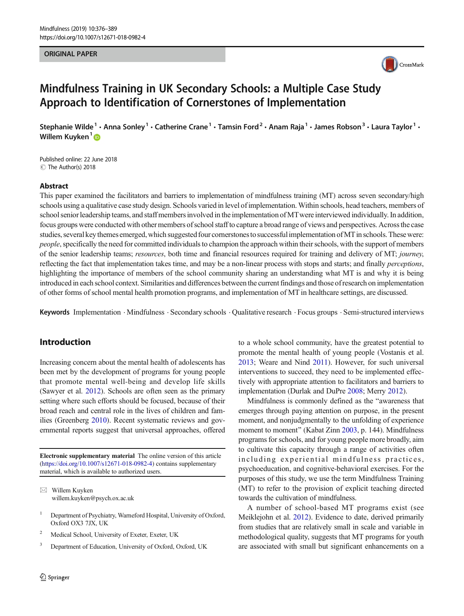#### ORIGINAL PAPER



# Mindfulness Training in UK Secondary Schools: a Multiple Case Study Approach to Identification of Cornerstones of Implementation

Stephanie Wilde<sup>1</sup> • Anna Sonley<sup>1</sup> • Catherine Crane<sup>1</sup> • Tamsin Ford<sup>2</sup> • Anam Raja<sup>1</sup> • James Robson<sup>3</sup> • Laura Taylor<sup>1</sup> • Willem Kuyken<sup>1</sup>

Published online: 22 June 2018 C The Author(s) 2018

#### Abstract

This paper examined the facilitators and barriers to implementation of mindfulness training (MT) across seven secondary/high schools using a qualitative case study design. Schools varied in level of implementation. Within schools, head teachers, members of school senior leadership teams, and staff members involved in the implementation of MTwere interviewed individually. In addition, focus groups were conducted with other members of school staff to capture a broad range of views and perspectives. Across the case studies, several keythemes emerged, which suggested four cornerstonesto successfulimplementation ofMTin schools. These were: people, specifically the need for committed individuals to champion the approach within their schools, with the support of members of the senior leadership teams; resources, both time and financial resources required for training and delivery of MT; journey, reflecting the fact that implementation takes time, and may be a non-linear process with stops and starts; and finally *perceptions*, highlighting the importance of members of the school community sharing an understanding what MT is and why it is being introduced in each school context. Similarities and differences betweenthe current findings and those of research on implementation of other forms of school mental health promotion programs, and implementation of MT in healthcare settings, are discussed.

Keywords Implementation . Mindfulness . Secondary schools . Qualitative research . Focus groups . Semi-structured interviews

# Introduction

Increasing concern about the mental health of adolescents has been met by the development of programs for young people that promote mental well-being and develop life skills (Sawyer et al. [2012](#page-13-0)). Schools are often seen as the primary setting where such efforts should be focused, because of their broad reach and central role in the lives of children and families (Greenberg [2010](#page-12-0)). Recent systematic reviews and governmental reports suggest that universal approaches, offered

Electronic supplementary material The online version of this article (<https://doi.org/10.1007/s12671-018-0982-4>) contains supplementary material, which is available to authorized users.

- <sup>1</sup> Department of Psychiatry, Warneford Hospital, University of Oxford, Oxford OX3 7JX, UK
- <sup>2</sup> Medical School, University of Exeter, Exeter, UK
- <sup>3</sup> Department of Education, University of Oxford, Oxford, UK

to a whole school community, have the greatest potential to promote the mental health of young people (Vostanis et al. [2013;](#page-13-0) Weare and Nind [2011](#page-13-0)). However, for such universal interventions to succeed, they need to be implemented effectively with appropriate attention to facilitators and barriers to implementation (Durlak and DuPre [2008;](#page-12-0) Merry [2012\)](#page-12-0).

Mindfulness is commonly defined as the "awareness that emerges through paying attention on purpose, in the present moment, and nonjudgmentally to the unfolding of experience moment to moment" (Kabat Zinn [2003,](#page-12-0) p. 144). Mindfulness programs for schools, and for young people more broadly, aim to cultivate this capacity through a range of activities often including experiential mindfulness practices, psychoeducation, and cognitive-behavioral exercises. For the purposes of this study, we use the term Mindfulness Training (MT) to refer to the provision of explicit teaching directed towards the cultivation of mindfulness.

A number of school-based MT programs exist (see Meiklejohn et al. [2012](#page-12-0)). Evidence to date, derived primarily from studies that are relatively small in scale and variable in methodological quality, suggests that MT programs for youth are associated with small but significant enhancements on a

 $\boxtimes$  Willem Kuyken [willem.kuyken@psych.ox.ac.uk](mailto:willem.kuyken@psych.ox.ac.uk)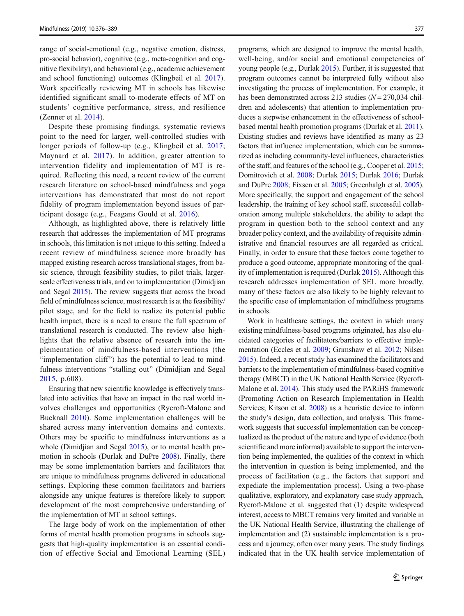range of social-emotional (e.g., negative emotion, distress, pro-social behavior), cognitive (e.g., meta-cognition and cognitive flexibility), and behavioral (e.g., academic achievement and school functioning) outcomes (Klingbeil et al. [2017](#page-12-0)). Work specifically reviewing MT in schools has likewise identified significant small to-moderate effects of MT on students' cognitive performance, stress, and resilience (Zenner et al. [2014](#page-13-0)).

Despite these promising findings, systematic reviews point to the need for larger, well-controlled studies with longer periods of follow-up (e.g., Klingbeil et al. [2017](#page-12-0); Maynard et al. [2017\)](#page-12-0). In addition, greater attention to intervention fidelity and implementation of MT is required. Reflecting this need, a recent review of the current research literature on school-based mindfulness and yoga interventions has demonstrated that most do not report fidelity of program implementation beyond issues of participant dosage (e.g., Feagans Gould et al. [2016\)](#page-12-0).

Although, as highlighted above, there is relatively little research that addresses the implementation of MT programs in schools, this limitation is not unique to this setting. Indeed a recent review of mindfulness science more broadly has mapped existing research across translational stages, from basic science, through feasibility studies, to pilot trials, largerscale effectiveness trials, and on to implementation (Dimidjian and Segal [2015\)](#page-12-0). The review suggests that across the broad field of mindfulness science, most research is at the feasibility/ pilot stage, and for the field to realize its potential public health impact, there is a need to ensure the full spectrum of translational research is conducted. The review also highlights that the relative absence of research into the implementation of mindfulness-based interventions (the "implementation cliff") has the potential to lead to mindfulness interventions "stalling out" (Dimidjian and Segal [2015](#page-12-0), p.608).

Ensuring that new scientific knowledge is effectively translated into activities that have an impact in the real world involves challenges and opportunities (Rycroft-Malone and Bucknall [2010](#page-13-0)). Some implementation challenges will be shared across many intervention domains and contexts. Others may be specific to mindfulness interventions as a whole (Dimidjian and Segal [2015](#page-12-0)), or to mental health promotion in schools (Durlak and DuPre [2008](#page-12-0)). Finally, there may be some implementation barriers and facilitators that are unique to mindfulness programs delivered in educational settings. Exploring these common facilitators and barriers alongside any unique features is therefore likely to support development of the most comprehensive understanding of the implementation of MT in school settings.

The large body of work on the implementation of other forms of mental health promotion programs in schools suggests that high-quality implementation is an essential condition of effective Social and Emotional Learning (SEL) programs, which are designed to improve the mental health, well-being, and/or social and emotional competencies of young people (e.g., Durlak [2015](#page-12-0)). Further, it is suggested that program outcomes cannot be interpreted fully without also investigating the process of implementation. For example, it has been demonstrated across 213 studies ( $N = 270,034$  children and adolescents) that attention to implementation produces a stepwise enhancement in the effectiveness of schoolbased mental health promotion programs (Durlak et al. [2011\)](#page-12-0). Existing studies and reviews have identified as many as 23 factors that influence implementation, which can be summarized as including community-level influences, characteristics of the staff, and features of the school (e.g., Cooper et al. [2015;](#page-12-0) Domitrovich et al. [2008;](#page-12-0) Durlak [2015](#page-12-0); Durlak [2016;](#page-12-0) Durlak and DuPre [2008;](#page-12-0) Fixsen et al. [2005;](#page-12-0) Greenhalgh et al. [2005\)](#page-12-0). More specifically, the support and engagement of the school leadership, the training of key school staff, successful collaboration among multiple stakeholders, the ability to adapt the program in question both to the school context and any broader policy context, and the availability of requisite administrative and financial resources are all regarded as critical. Finally, in order to ensure that these factors come together to produce a good outcome, appropriate monitoring of the quality of implementation is required (Durlak [2015](#page-12-0)). Although this research addresses implementation of SEL more broadly, many of these factors are also likely to be highly relevant to the specific case of implementation of mindfulness programs in schools.

Work in healthcare settings, the context in which many existing mindfulness-based programs originated, has also elucidated categories of facilitators/barriers to effective implementation (Eccles et al. [2009;](#page-12-0) Grimshaw et al. [2012](#page-12-0); Nilsen [2015\)](#page-13-0). Indeed, a recent study has examined the facilitators and barriers to the implementation of mindfulness-based cognitive therapy (MBCT) in the UK National Health Service (Rycroft-Malone et al. [2014](#page-13-0)). This study used the PARiHS framework (Promoting Action on Research Implementation in Health Services; Kitson et al. [2008](#page-12-0)) as a heuristic device to inform the study's design, data collection, and analysis. This framework suggests that successful implementation can be conceptualized as the product of the nature and type of evidence (both scientific and more informal) available to support the intervention being implemented, the qualities of the context in which the intervention in question is being implemented, and the process of facilitation (e.g., the factors that support and expediate the implementation process). Using a two-phase qualitative, exploratory, and explanatory case study approach, Rycroft-Malone et al. suggested that (1) despite widespread interest, access to MBCT remains very limited and variable in the UK National Health Service, illustrating the challenge of implementation and (2) sustainable implementation is a process and a journey, often over many years. The study findings indicated that in the UK health service implementation of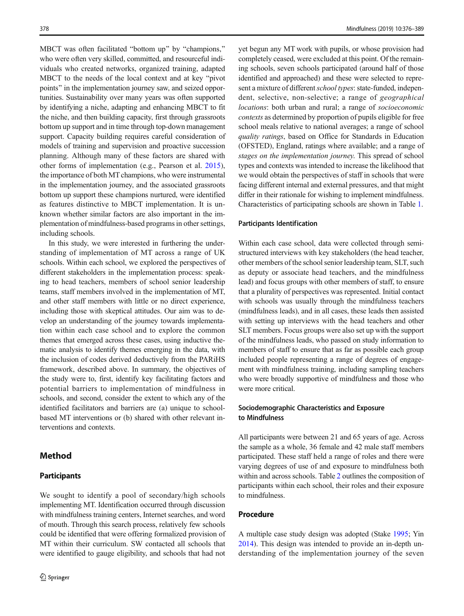MBCT was often facilitated "bottom up" by "champions," who were often very skilled, committed, and resourceful individuals who created networks, organized training, adapted MBCT to the needs of the local context and at key "pivot" points" in the implementation journey saw, and seized opportunities. Sustainability over many years was often supported by identifying a niche, adapting and enhancing MBCT to fit the niche, and then building capacity, first through grassroots bottom up support and in time through top-down management support. Capacity building requires careful consideration of models of training and supervision and proactive succession planning. Although many of these factors are shared with other forms of implementation (e.g., Pearson et al. [2015](#page-13-0)), the importance of both MT champions, who were instrumental in the implementation journey, and the associated grassroots bottom up support these champions nurtured, were identified as features distinctive to MBCT implementation. It is unknown whether similar factors are also important in the implementation of mindfulness-based programs in other settings, including schools.

In this study, we were interested in furthering the understanding of implementation of MT across a range of UK schools. Within each school, we explored the perspectives of different stakeholders in the implementation process: speaking to head teachers, members of school senior leadership teams, staff members involved in the implementation of MT, and other staff members with little or no direct experience, including those with skeptical attitudes. Our aim was to develop an understanding of the journey towards implementation within each case school and to explore the common themes that emerged across these cases, using inductive thematic analysis to identify themes emerging in the data, with the inclusion of codes derived deductively from the PARiHS framework, described above. In summary, the objectives of the study were to, first, identify key facilitating factors and potential barriers to implementation of mindfulness in schools, and second, consider the extent to which any of the identified facilitators and barriers are (a) unique to schoolbased MT interventions or (b) shared with other relevant interventions and contexts.

# Method

#### **Participants**

yet begun any MT work with pupils, or whose provision had completely ceased, were excluded at this point. Of the remaining schools, seven schools participated (around half of those identified and approached) and these were selected to represent a mixture of different school types: state-funded, independent, selective, non-selective; a range of geographical locations: both urban and rural; a range of socioeconomic contexts as determined by proportion of pupils eligible for free school meals relative to national averages; a range of school quality ratings, based on Office for Standards in Education (OFSTED), England, ratings where available; and a range of stages on the implementation journey. This spread of school types and contexts was intended to increase the likelihood that we would obtain the perspectives of staff in schools that were facing different internal and external pressures, and that might differ in their rationale for wishing to implement mindfulness. Characteristics of participating schools are shown in Table [1](#page-3-0).

#### Participants Identification

Within each case school, data were collected through semistructured interviews with key stakeholders (the head teacher, other members of the school senior leadership team, SLT, such as deputy or associate head teachers, and the mindfulness lead) and focus groups with other members of staff, to ensure that a plurality of perspectives was represented. Initial contact with schools was usually through the mindfulness teachers (mindfulness leads), and in all cases, these leads then assisted with setting up interviews with the head teachers and other SLT members. Focus groups were also set up with the support of the mindfulness leads, who passed on study information to members of staff to ensure that as far as possible each group included people representing a range of degrees of engagement with mindfulness training, including sampling teachers who were broadly supportive of mindfulness and those who were more critical.

# Sociodemographic Characteristics and Exposure to Mindfulness

All participants were between 21 and 65 years of age. Across the sample as a whole, 36 female and 42 male staff members participated. These staff held a range of roles and there were varying degrees of use of and exposure to mindfulness both within and across schools. Table [2](#page-4-0) outlines the composition of participants within each school, their roles and their exposure to mindfulness.

### Procedure

A multiple case study design was adopted (Stake [1995](#page-13-0); Yin [2014\)](#page-13-0). This design was intended to provide an in-depth understanding of the implementation journey of the seven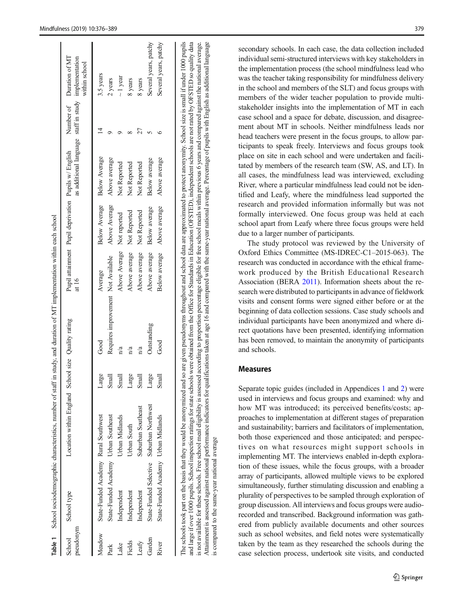<span id="page-3-0"></span>

|                     | Table 1 School sociodemographic characteristics, number of staff in study, and duration of MT implementation within each school |                         |       |                                    |                            |               |                                                                                                                                         |                                           |
|---------------------|---------------------------------------------------------------------------------------------------------------------------------|-------------------------|-------|------------------------------------|----------------------------|---------------|-----------------------------------------------------------------------------------------------------------------------------------------|-------------------------------------------|
| pseudonym<br>School | School type                                                                                                                     | Location within England |       | School size Quality rating         | at 16                      |               | as additional language staff in study implementation<br>Pupil attainment Pupil deprivation Pupils w/ English                            | Number of Duration of MT<br>within school |
| Meadow              | State-Funded Academy Rural Southwest                                                                                            |                         | Large | $_{\rm Good}$                      | Average                    | Below Average | <b>Below Average</b>                                                                                                                    | 3.5 years                                 |
| Park                | State-Funded Academy Urban Southeast                                                                                            |                         | Small | Requires improvement Not Available |                            | Above Average | Above average                                                                                                                           | 2 years                                   |
| Lake                | Independent                                                                                                                     | Urban Midlands          | Small | n/a                                | Above Average Not reported |               | Not Reported                                                                                                                            | $\sim$ 1 year                             |
| Fields              | Independent                                                                                                                     | Urban South             | Large | n/a                                | Above average Not Reported |               | Not Reported                                                                                                                            | 8 years                                   |
| Leafy               | Independent                                                                                                                     | Suburban Southeast      | Small | n/a                                | Above average              | Not Reported  | Not Reported                                                                                                                            | 8 years                                   |
| Garden              | State-Funded Selective Suburban Northwest                                                                                       |                         | Large | Outstanding                        | Above average              | Below average | Below average                                                                                                                           | Several years, patchy                     |
| River               | State-Funded Academy Urban Midlands                                                                                             |                         | Small | Good                               | Below average              | Above average | Above average                                                                                                                           | Several years, patchy                     |
|                     |                                                                                                                                 |                         |       |                                    |                            |               |                                                                                                                                         |                                           |
|                     | The schools took part on the basis that they would be anonymized                                                                |                         |       |                                    |                            |               | and so are given pseudonyms throughout and school data are approximated to protect anonymity. School size is small if under 1000 pupils |                                           |

The schools took part on the basis that they would be anonymized and so are given pseudonyms throughout and school data are approximated to protect anonymity. School size is small if under 1000 pupils and large if over 1000 pupils. School inspection ratings for state schools were obtained from the Office for Standards in Education (OFSTED), independent schools are not rated by OFSTED so quality data and large if over 1000 pupils. School inspection ratings for state schools were obtained from the Office for Standards in Education (OFSTED), independent schools are not rated by OFSTED so quality data is not available for these schools. Free school meal eligibility is assessed according to proportion percentage eligible for free school meals within previous 6 years and compared against the national average. performance indicators for qualifications taken at age 16 and compared with the same-year national average. Percentage of pupils with English as additional language Attainment is assessed against national performance indicators for qualifications taken at age 16 and compared with the same-year national average. Percentage of pupils with English as additional language is not available for these schools. Free school meal eligibility is assessed according to proportion percentage eligible for free school meals within previous 6 years and compared against the national average. is compared to the same-year national average is compared to the same-year national average Attainment is assessed against national

secondary schools. In each case, the data collection included individual semi-structured interviews with key stakeholders in the implementation process (the school mindfulness lead who was the teacher taking responsibility for mindfulness delivery in the school and members of the SLT) and focus groups with members of the wider teacher population to provide multistakeholder insights into the implementation of MT in each case school and a space for debate, discussion, and disagreement about MT in schools. Neither mindfulness leads nor head teachers were present in the focus groups, to allow participants to speak freely. Interviews and focus groups took place on site in each school and were undertaken and facilitated by members of the research team (SW, AS, and LT). In all cases, the mindfulness lead was interviewed, excluding River, where a particular mindfulness lead could not be identified and Leafy, where the mindfulness lead supported the research and provided information informally but was not formally interviewed. One focus group was held at each school apart from Leafy where three focus groups were held due to a larger number of participants.

The study protocol was reviewed by the University of Oxford Ethics Committee (MS-IDREC-C1–2015-063). The research was conducted in accordance with the ethical framework produced by the British Educational Research Association (BERA [2011](#page-12-0)). Information sheets about the research were distributed to participants in advance of fieldwork visits and consent forms were signed either before or at the beginning of data collection sessions. Case study schools and individual participants have been anonymized and where direct quotations have been presented, identifying information has been removed, to maintain the anonymity of participants and schools.

# Measures

Separate topic guides (included in Appendices [1](#page-11-0) and [2\)](#page-11-0) were used in interviews and focus groups and examined: why and how MT was introduced; its perceived benefits/costs; approaches to implementation at different stages of preparation and sustainability; barriers and facilitators of implementation, both those experienced and those anticipated; and perspectives on what resources might support schools in implementing MT. The interviews enabled in-depth exploration of these issues, while the focus groups, with a broader array of participants, allowed multiple views to be explored simultaneously, further stimulating discussion and enabling a plurality of perspectives to be sampled through exploration of group discussion. All interviews and focus groups were audiorecorded and transcribed. Background information was gathered from publicly available documents and other sources such as school websites, and field notes were systematically taken by the team as they researched the schools during the case selection process, undertook site visits, and conducted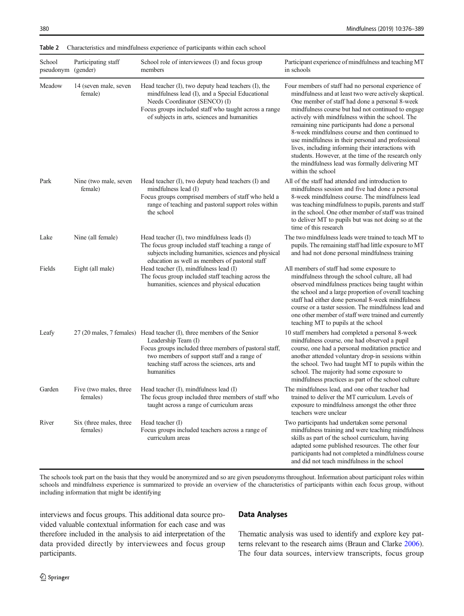<span id="page-4-0"></span>

| School<br>pseudonym (gender) | Participating staff                 | School role of interviewees (I) and focus group<br>members                                                                                                                                                                                                           | Participant experience of mindfulness and teaching MT<br>in schools                                                                                                                                                                                                                                                                                                                                                                                                                                                                                                                                                       |
|------------------------------|-------------------------------------|----------------------------------------------------------------------------------------------------------------------------------------------------------------------------------------------------------------------------------------------------------------------|---------------------------------------------------------------------------------------------------------------------------------------------------------------------------------------------------------------------------------------------------------------------------------------------------------------------------------------------------------------------------------------------------------------------------------------------------------------------------------------------------------------------------------------------------------------------------------------------------------------------------|
| Meadow                       | 14 (seven male, seven<br>female)    | Head teacher (I), two deputy head teachers (I), the<br>mindfulness lead (I), and a Special Educational<br>Needs Coordinator (SENCO) (I)<br>Focus groups included staff who taught across a range<br>of subjects in arts, sciences and humanities                     | Four members of staff had no personal experience of<br>mindfulness and at least two were actively skeptical.<br>One member of staff had done a personal 8-week<br>mindfulness course but had not continued to engage<br>actively with mindfulness within the school. The<br>remaining nine participants had done a personal<br>8-week mindfulness course and then continued to<br>use mindfulness in their personal and professional<br>lives, including informing their interactions with<br>students. However, at the time of the research only<br>the mindfulness lead was formally delivering MT<br>within the school |
| Park                         | Nine (two male, seven<br>female)    | Head teacher (I), two deputy head teachers (I) and<br>mindfulness lead (I)<br>Focus groups comprised members of staff who held a<br>range of teaching and pastoral support roles within<br>the school                                                                | All of the staff had attended and introduction to<br>mindfulness session and five had done a personal<br>8-week mindfulness course. The mindfulness lead<br>was teaching mindfulness to pupils, parents and staff<br>in the school. One other member of staff was trained<br>to deliver MT to pupils but was not doing so at the<br>time of this research                                                                                                                                                                                                                                                                 |
| Lake                         | Nine (all female)                   | Head teacher (I), two mindfulness leads (I)<br>The focus group included staff teaching a range of<br>subjects including humanities, sciences and physical<br>education as well as members of pastoral staff                                                          | The two mindfulness leads were trained to teach MT to<br>pupils. The remaining staff had little exposure to MT<br>and had not done personal mindfulness training                                                                                                                                                                                                                                                                                                                                                                                                                                                          |
| Fields                       | Eight (all male)                    | Head teacher (I), mindfulness lead (I)<br>The focus group included staff teaching across the<br>humanities, sciences and physical education                                                                                                                          | All members of staff had some exposure to<br>mindfulness through the school culture, all had<br>observed mindfulness practices being taught within<br>the school and a large proportion of overall teaching<br>staff had either done personal 8-week mindfulness<br>course or a taster session. The mindfulness lead and<br>one other member of staff were trained and currently<br>teaching MT to pupils at the school                                                                                                                                                                                                   |
| Leafy                        |                                     | 27 (20 males, 7 females) Head teacher (I), three members of the Senior<br>Leadership Team (I)<br>Focus groups included three members of pastoral staff,<br>two members of support staff and a range of<br>teaching staff across the sciences, arts and<br>humanities | 10 staff members had completed a personal 8-week<br>mindfulness course, one had observed a pupil<br>course, one had a personal meditation practice and<br>another attended voluntary drop-in sessions within<br>the school. Two had taught MT to pupils within the<br>school. The majority had some exposure to<br>mindfulness practices as part of the school culture                                                                                                                                                                                                                                                    |
| Garden                       | Five (two males, three<br>females)  | Head teacher (I), mindfulness lead (I)<br>The focus group included three members of staff who<br>taught across a range of curriculum areas                                                                                                                           | The mindfulness lead, and one other teacher had<br>trained to deliver the MT curriculum. Levels of<br>exposure to mindfulness amongst the other three<br>teachers were unclear                                                                                                                                                                                                                                                                                                                                                                                                                                            |
| River                        | Six (three males, three<br>females) | Head teacher (I)<br>Focus groups included teachers across a range of<br>curriculum areas                                                                                                                                                                             | Two participants had undertaken some personal<br>mindfulness training and were teaching mindfulness<br>skills as part of the school curriculum, having<br>adapted some published resources. The other four<br>participants had not completed a mindfulness course<br>and did not teach mindfulness in the school                                                                                                                                                                                                                                                                                                          |

The schools took part on the basis that they would be anonymized and so are given pseudonyms throughout. Information about participant roles within schools and mindfulness experience is summarized to provide an overview of the characteristics of participants within each focus group, without including information that might be identifying

interviews and focus groups. This additional data source provided valuable contextual information for each case and was therefore included in the analysis to aid interpretation of the data provided directly by interviewees and focus group participants.

#### Data Analyses

Thematic analysis was used to identify and explore key patterns relevant to the research aims (Braun and Clarke [2006\)](#page-12-0). The four data sources, interview transcripts, focus group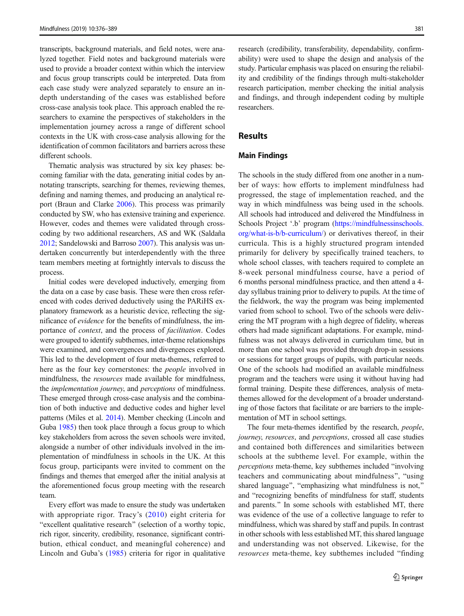transcripts, background materials, and field notes, were analyzed together. Field notes and background materials were used to provide a broader context within which the interview and focus group transcripts could be interpreted. Data from each case study were analyzed separately to ensure an indepth understanding of the cases was established before cross-case analysis took place. This approach enabled the researchers to examine the perspectives of stakeholders in the implementation journey across a range of different school contexts in the UK with cross-case analysis allowing for the identification of common facilitators and barriers across these different schools.

Thematic analysis was structured by six key phases: becoming familiar with the data, generating initial codes by annotating transcripts, searching for themes, reviewing themes, defining and naming themes, and producing an analytical report (Braun and Clarke [2006\)](#page-12-0). This process was primarily conducted by SW, who has extensive training and experience. However, codes and themes were validated through crosscoding by two additional researchers, AS and WK (Saldaña [2012;](#page-13-0) Sandelowski and Barroso [2007](#page-13-0)). This analysis was undertaken concurrently but interdependently with the three team members meeting at fortnightly intervals to discuss the process.

Initial codes were developed inductively, emerging from the data on a case by case basis. These were then cross referenced with codes derived deductively using the PARiHS explanatory framework as a heuristic device, reflecting the significance of evidence for the benefits of mindfulness, the importance of context, and the process of facilitation. Codes were grouped to identify subthemes, inter-theme relationships were examined, and convergences and divergences explored. This led to the development of four meta-themes, referred to here as the four key cornerstones: the people involved in mindfulness, the resources made available for mindfulness, the implementation journey, and perceptions of mindfulness. These emerged through cross-case analysis and the combination of both inductive and deductive codes and higher level patterns (Miles et al. [2014](#page-13-0)). Member checking (Lincoln and Guba [1985\)](#page-12-0) then took place through a focus group to which key stakeholders from across the seven schools were invited, alongside a number of other individuals involved in the implementation of mindfulness in schools in the UK. At this focus group, participants were invited to comment on the findings and themes that emerged after the initial analysis at the aforementioned focus group meeting with the research team.

Every effort was made to ensure the study was undertaken with appropriate rigor. Tracy's ([2010](#page-13-0)) eight criteria for "excellent qualitative research" (selection of a worthy topic, rich rigor, sincerity, credibility, resonance, significant contribution, ethical conduct, and meaningful coherence) and Lincoln and Guba's ([1985](#page-12-0)) criteria for rigor in qualitative research (credibility, transferability, dependability, confirmability) were used to shape the design and analysis of the study. Particular emphasis was placed on ensuring the reliability and credibility of the findings through multi-stakeholder research participation, member checking the initial analysis and findings, and through independent coding by multiple researchers.

# **Results**

#### Main Findings

The schools in the study differed from one another in a number of ways: how efforts to implement mindfulness had progressed, the stage of implementation reached, and the way in which mindfulness was being used in the schools. All schools had introduced and delivered the Mindfulness in Schools Project '.b' program ([https://mindfulnessinschools.](https://mindfulnessinschools.org/what-is-b/b-curriculum) [org/what-is-b/b-curriculum/](https://mindfulnessinschools.org/what-is-b/b-curriculum)) or derivatives thereof, in their curricula. This is a highly structured program intended primarily for delivery by specifically trained teachers, to whole school classes, with teachers required to complete an 8-week personal mindfulness course, have a period of 6 months personal mindfulness practice, and then attend a 4 day syllabus training prior to delivery to pupils. At the time of the fieldwork, the way the program was being implemented varied from school to school. Two of the schools were delivering the MT program with a high degree of fidelity, whereas others had made significant adaptations. For example, mindfulness was not always delivered in curriculum time, but in more than one school was provided through drop-in sessions or sessions for target groups of pupils, with particular needs. One of the schools had modified an available mindfulness program and the teachers were using it without having had formal training. Despite these differences, analysis of metathemes allowed for the development of a broader understanding of those factors that facilitate or are barriers to the implementation of MT in school settings.

The four meta-themes identified by the research, people, journey, resources, and perceptions, crossed all case studies and contained both differences and similarities between schools at the subtheme level. For example, within the perceptions meta-theme, key subthemes included "involving teachers and communicating about mindfulness", "using shared language", "emphasizing what mindfulness is not," and "recognizing benefits of mindfulness for staff, students and parents." In some schools with established MT, there was evidence of the use of a collective language to refer to mindfulness, which was shared by staff and pupils. In contrast in other schools with less established MT, this shared language and understanding was not observed. Likewise, for the resources meta-theme, key subthemes included "finding"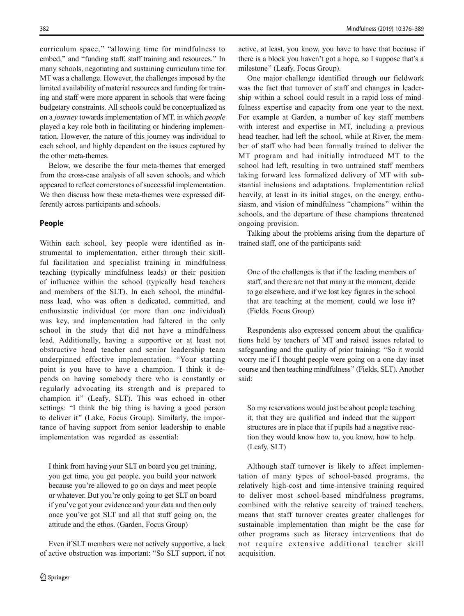curriculum space," "allowing time for mindfulness to embed," and "funding staff, staff training and resources." In many schools, negotiating and sustaining curriculum time for MT was a challenge. However, the challenges imposed by the limited availability of material resources and funding for training and staff were more apparent in schools that were facing budgetary constraints. All schools could be conceptualized as on a journey towards implementation of MT, in which people played a key role both in facilitating or hindering implementation. However, the nature of this journey was individual to each school, and highly dependent on the issues captured by the other meta-themes.

Below, we describe the four meta-themes that emerged from the cross-case analysis of all seven schools, and which appeared to reflect cornerstones of successful implementation. We then discuss how these meta-themes were expressed differently across participants and schools.

#### People

Within each school, key people were identified as instrumental to implementation, either through their skillful facilitation and specialist training in mindfulness teaching (typically mindfulness leads) or their position of influence within the school (typically head teachers and members of the SLT). In each school, the mindfulness lead, who was often a dedicated, committed, and enthusiastic individual (or more than one individual) was key, and implementation had faltered in the only school in the study that did not have a mindfulness lead. Additionally, having a supportive or at least not obstructive head teacher and senior leadership team underpinned effective implementation. "Your starting point is you have to have a champion. I think it depends on having somebody there who is constantly or regularly advocating its strength and is prepared to champion it" (Leafy, SLT). This was echoed in other settings: "I think the big thing is having a good person to deliver it^ (Lake, Focus Group). Similarly, the importance of having support from senior leadership to enable implementation was regarded as essential:

I think from having your SLT on board you get training, you get time, you get people, you build your network because you're allowed to go on days and meet people or whatever. But you're only going to get SLT on board if you've got your evidence and your data and then only once you've got SLT and all that stuff going on, the attitude and the ethos. (Garden, Focus Group)

Even if SLT members were not actively supportive, a lack of active obstruction was important: "So SLT support, if not

active, at least, you know, you have to have that because if there is a block you haven't got a hope, so I suppose that's a milestone" (Leafy, Focus Group).

One major challenge identified through our fieldwork was the fact that turnover of staff and changes in leadership within a school could result in a rapid loss of mindfulness expertise and capacity from one year to the next. For example at Garden, a number of key staff members with interest and expertise in MT, including a previous head teacher, had left the school, while at River, the member of staff who had been formally trained to deliver the MT program and had initially introduced MT to the school had left, resulting in two untrained staff members taking forward less formalized delivery of MT with substantial inclusions and adaptations. Implementation relied heavily, at least in its initial stages, on the energy, enthusiasm, and vision of mindfulness "champions" within the schools, and the departure of these champions threatened ongoing provision.

Talking about the problems arising from the departure of trained staff, one of the participants said:

One of the challenges is that if the leading members of staff, and there are not that many at the moment, decide to go elsewhere, and if we lost key figures in the school that are teaching at the moment, could we lose it? (Fields, Focus Group)

Respondents also expressed concern about the qualifications held by teachers of MT and raised issues related to safeguarding and the quality of prior training: "So it would worry me if I thought people were going on a one day inset course and then teaching mindfulness" (Fields, SLT). Another said:

So my reservations would just be about people teaching it, that they are qualified and indeed that the support structures are in place that if pupils had a negative reaction they would know how to, you know, how to help. (Leafy, SLT)

Although staff turnover is likely to affect implementation of many types of school-based programs, the relatively high-cost and time-intensive training required to deliver most school-based mindfulness programs, combined with the relative scarcity of trained teachers, means that staff turnover creates greater challenges for sustainable implementation than might be the case for other programs such as literacy interventions that do not require extensive additional teacher skill acquisition.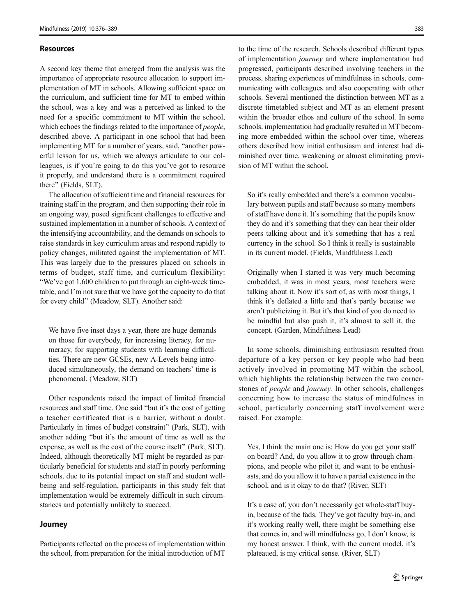#### Resources

A second key theme that emerged from the analysis was the importance of appropriate resource allocation to support implementation of MT in schools. Allowing sufficient space on the curriculum, and sufficient time for MT to embed within the school, was a key and was a perceived as linked to the need for a specific commitment to MT within the school, which echoes the findings related to the importance of *people*, described above. A participant in one school that had been implementing MT for a number of years, said, "another powerful lesson for us, which we always articulate to our colleagues, is if you're going to do this you've got to resource it properly, and understand there is a commitment required there" (Fields, SLT).

The allocation of sufficient time and financial resources for training staff in the program, and then supporting their role in an ongoing way, posed significant challenges to effective and sustained implementation in a number of schools. A context of the intensifying accountability, and the demands on schools to raise standards in key curriculum areas and respond rapidly to policy changes, militated against the implementation of MT. This was largely due to the pressures placed on schools in terms of budget, staff time, and curriculum flexibility: "We've got 1,600 children to put through an eight-week timetable, and I'm not sure that we have got the capacity to do that for every child" (Meadow, SLT). Another said:

We have five inset days a year, there are huge demands on those for everybody, for increasing literacy, for numeracy, for supporting students with learning difficulties. There are new GCSEs, new A-Levels being introduced simultaneously, the demand on teachers' time is phenomenal. (Meadow, SLT)

Other respondents raised the impact of limited financial resources and staff time. One said "but it's the cost of getting a teacher certificated that is a barrier, without a doubt. Particularly in times of budget constraint" (Park, SLT), with another adding "but it's the amount of time as well as the expense, as well as the cost of the course itself^ (Park, SLT). Indeed, although theoretically MT might be regarded as particularly beneficial for students and staff in poorly performing schools, due to its potential impact on staff and student wellbeing and self-regulation, participants in this study felt that implementation would be extremely difficult in such circumstances and potentially unlikely to succeed.

#### **Journey**

to the time of the research. Schools described different types of implementation journey and where implementation had progressed, participants described involving teachers in the process, sharing experiences of mindfulness in schools, communicating with colleagues and also cooperating with other schools. Several mentioned the distinction between MT as a discrete timetabled subject and MT as an element present within the broader ethos and culture of the school. In some schools, implementation had gradually resulted in MT becoming more embedded within the school over time, whereas others described how initial enthusiasm and interest had diminished over time, weakening or almost eliminating provision of MT within the school.

So it's really embedded and there's a common vocabulary between pupils and staff because so many members of staff have done it. It's something that the pupils know they do and it's something that they can hear their older peers talking about and it's something that has a real currency in the school. So I think it really is sustainable in its current model. (Fields, Mindfulness Lead)

Originally when I started it was very much becoming embedded, it was in most years, most teachers were talking about it. Now it's sort of, as with most things, I think it's deflated a little and that's partly because we aren't publicizing it. But it's that kind of you do need to be mindful but also push it, it's almost to sell it, the concept. (Garden, Mindfulness Lead)

In some schools, diminishing enthusiasm resulted from departure of a key person or key people who had been actively involved in promoting MT within the school, which highlights the relationship between the two cornerstones of people and journey. In other schools, challenges concerning how to increase the status of mindfulness in school, particularly concerning staff involvement were raised. For example:

Yes, I think the main one is: How do you get your staff on board? And, do you allow it to grow through champions, and people who pilot it, and want to be enthusiasts, and do you allow it to have a partial existence in the school, and is it okay to do that? (River, SLT)

It's a case of, you don't necessarily get whole-staff buyin, because of the fads. They've got faculty buy-in, and it's working really well, there might be something else that comes in, and will mindfulness go, I don't know, is my honest answer. I think, with the current model, it's plateaued, is my critical sense. (River, SLT)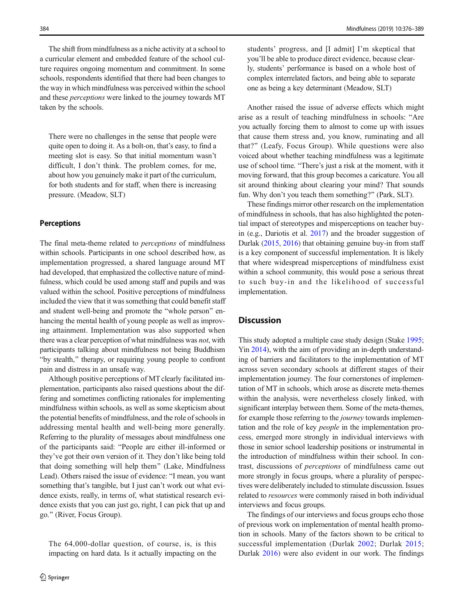The shift from mindfulness as a niche activity at a school to a curricular element and embedded feature of the school culture requires ongoing momentum and commitment. In some schools, respondents identified that there had been changes to the way in which mindfulness was perceived within the school and these perceptions were linked to the journey towards MT taken by the schools.

There were no challenges in the sense that people were quite open to doing it. As a bolt-on, that's easy, to find a meeting slot is easy. So that initial momentum wasn't difficult, I don't think. The problem comes, for me, about how you genuinely make it part of the curriculum, for both students and for staff, when there is increasing pressure. (Meadow, SLT)

#### **Perceptions**

The final meta-theme related to *perceptions* of mindfulness within schools. Participants in one school described how, as implementation progressed, a shared language around MT had developed, that emphasized the collective nature of mindfulness, which could be used among staff and pupils and was valued within the school. Positive perceptions of mindfulness included the view that it was something that could benefit staff and student well-being and promote the "whole person" enhancing the mental health of young people as well as improving attainment. Implementation was also supported when there was a clear perception of what mindfulness was *not*, with participants talking about mindfulness not being Buddhism "by stealth," therapy, or requiring young people to confront pain and distress in an unsafe way.

Although positive perceptions of MT clearly facilitated implementation, participants also raised questions about the differing and sometimes conflicting rationales for implementing mindfulness within schools, as well as some skepticism about the potential benefits of mindfulness, and the role of schools in addressing mental health and well-being more generally. Referring to the plurality of messages about mindfulness one of the participants said: "People are either ill-informed or they've got their own version of it. They don't like being told that doing something will help them^ (Lake, Mindfulness Lead). Others raised the issue of evidence: "I mean, you want something that's tangible, but I just can't work out what evidence exists, really, in terms of, what statistical research evidence exists that you can just go, right, I can pick that up and go.^ (River, Focus Group).

The 64,000-dollar question, of course, is, is this impacting on hard data. Is it actually impacting on the students' progress, and [I admit] I'm skeptical that you'll be able to produce direct evidence, because clearly, students' performance is based on a whole host of complex interrelated factors, and being able to separate one as being a key determinant (Meadow, SLT)

Another raised the issue of adverse effects which might arise as a result of teaching mindfulness in schools: "Are you actually forcing them to almost to come up with issues that cause them stress and, you know, ruminating and all that?^ (Leafy, Focus Group). While questions were also voiced about whether teaching mindfulness was a legitimate use of school time. "There's just a risk at the moment, with it moving forward, that this group becomes a caricature. You all sit around thinking about clearing your mind? That sounds fun. Why don't you teach them something?^ (Park, SLT).

These findings mirror other research on the implementation of mindfulness in schools, that has also highlighted the potential impact of stereotypes and misperceptions on teacher buyin (e.g., Dariotis et al. [2017](#page-12-0)) and the broader suggestion of Durlak ([2015](#page-12-0), [2016\)](#page-12-0) that obtaining genuine buy-in from staff is a key component of successful implementation. It is likely that where widespread misperceptions of mindfulness exist within a school community, this would pose a serious threat to such buy-in and the likelihood of successful implementation.

#### **Discussion**

This study adopted a multiple case study design (Stake [1995;](#page-13-0) Yin [2014](#page-13-0)), with the aim of providing an in-depth understanding of barriers and facilitators to the implementation of MT across seven secondary schools at different stages of their implementation journey. The four cornerstones of implementation of MT in schools, which arose as discrete meta-themes within the analysis, were nevertheless closely linked, with significant interplay between them. Some of the meta-themes, for example those referring to the journey towards implementation and the role of key people in the implementation process, emerged more strongly in individual interviews with those in senior school leadership positions or instrumental in the introduction of mindfulness within their school. In contrast, discussions of perceptions of mindfulness came out more strongly in focus groups, where a plurality of perspectives were deliberately included to stimulate discussion. Issues related to resources were commonly raised in both individual interviews and focus groups.

The findings of our interviews and focus groups echo those of previous work on implementation of mental health promotion in schools. Many of the factors shown to be critical to successful implementation (Durlak [2002](#page-12-0); Durlak [2015;](#page-12-0) Durlak [2016\)](#page-12-0) were also evident in our work. The findings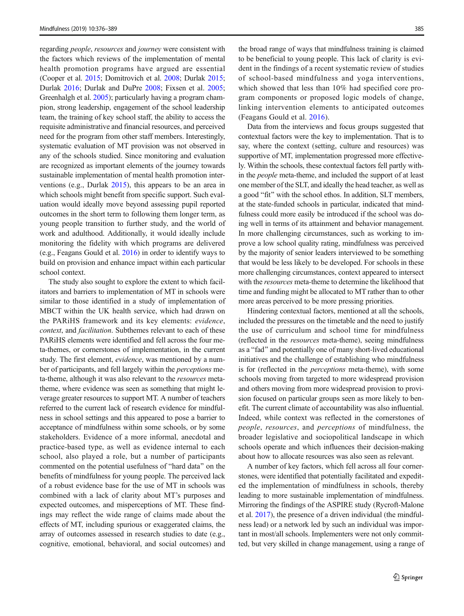regarding people, resources and journey were consistent with the factors which reviews of the implementation of mental health promotion programs have argued are essential (Cooper et al. [2015;](#page-12-0) Domitrovich et al. [2008](#page-12-0); Durlak [2015](#page-12-0); Durlak [2016;](#page-12-0) Durlak and DuPre [2008](#page-12-0); Fixsen et al. [2005](#page-12-0); Greenhalgh et al. [2005](#page-12-0)); particularly having a program champion, strong leadership, engagement of the school leadership team, the training of key school staff, the ability to access the requisite administrative and financial resources, and perceived need for the program from other staff members. Interestingly, systematic evaluation of MT provision was not observed in any of the schools studied. Since monitoring and evaluation are recognized as important elements of the journey towards sustainable implementation of mental health promotion interventions (e.g., Durlak [2015\)](#page-12-0), this appears to be an area in which schools might benefit from specific support. Such evaluation would ideally move beyond assessing pupil reported outcomes in the short term to following them longer term, as young people transition to further study, and the world of work and adulthood. Additionally, it would ideally include monitoring the fidelity with which programs are delivered (e.g., Feagans Gould et al. [2016](#page-12-0)) in order to identify ways to build on provision and enhance impact within each particular school context.

The study also sought to explore the extent to which facilitators and barriers to implementation of MT in schools were similar to those identified in a study of implementation of MBCT within the UK health service, which had drawn on the PARiHS framework and its key elements: evidence, context, and facilitation. Subthemes relevant to each of these PARiHS elements were identified and fell across the four meta-themes, or cornerstones of implementation, in the current study. The first element, evidence, was mentioned by a number of participants, and fell largely within the perceptions meta-theme, although it was also relevant to the resources metatheme, where evidence was seen as something that might leverage greater resources to support MT. A number of teachers referred to the current lack of research evidence for mindfulness in school settings and this appeared to pose a barrier to acceptance of mindfulness within some schools, or by some stakeholders. Evidence of a more informal, anecdotal and practice-based type, as well as evidence internal to each school, also played a role, but a number of participants commented on the potential usefulness of "hard data" on the benefits of mindfulness for young people. The perceived lack of a robust evidence base for the use of MT in schools was combined with a lack of clarity about MT's purposes and expected outcomes, and misperceptions of MT. These findings may reflect the wide range of claims made about the effects of MT, including spurious or exaggerated claims, the array of outcomes assessed in research studies to date (e.g., cognitive, emotional, behavioral, and social outcomes) and the broad range of ways that mindfulness training is claimed to be beneficial to young people. This lack of clarity is evident in the findings of a recent systematic review of studies of school-based mindfulness and yoga interventions, which showed that less than 10% had specified core program components or proposed logic models of change, linking intervention elements to anticipated outcomes (Feagans Gould et al. [2016](#page-12-0)).

Data from the interviews and focus groups suggested that contextual factors were the key to implementation. That is to say, where the context (setting, culture and resources) was supportive of MT, implementation progressed more effectively. Within the schools, these contextual factors fell partly within the people meta-theme, and included the support of at least one member of the SLT, and ideally the head teacher, as well as a good "fit" with the school ethos. In addition, SLT members, at the state-funded schools in particular, indicated that mindfulness could more easily be introduced if the school was doing well in terms of its attainment and behavior management. In more challenging circumstances, such as working to improve a low school quality rating, mindfulness was perceived by the majority of senior leaders interviewed to be something that would be less likely to be developed. For schools in these more challenging circumstances, context appeared to intersect with the *resources* meta-theme to determine the likelihood that time and funding might be allocated to MT rather than to other more areas perceived to be more pressing priorities.

Hindering contextual factors, mentioned at all the schools, included the pressures on the timetable and the need to justify the use of curriculum and school time for mindfulness (reflected in the resources meta-theme), seeing mindfulness as a "fad" and potentially one of many short-lived educational initiatives and the challenge of establishing who mindfulness is for (reflected in the perceptions meta-theme), with some schools moving from targeted to more widespread provision and others moving from more widespread provision to provision focused on particular groups seen as more likely to benefit. The current climate of accountability was also influential. Indeed, while context was reflected in the cornerstones of people, resources, and perceptions of mindfulness, the broader legislative and sociopolitical landscape in which schools operate and which influences their decision-making about how to allocate resources was also seen as relevant.

A number of key factors, which fell across all four cornerstones, were identified that potentially facilitated and expedited the implementation of mindfulness in schools, thereby leading to more sustainable implementation of mindfulness. Mirroring the findings of the ASPIRE study (Rycroft-Malone et al. [2017](#page-13-0)), the presence of a driven individual (the mindfulness lead) or a network led by such an individual was important in most/all schools. Implementers were not only committed, but very skilled in change management, using a range of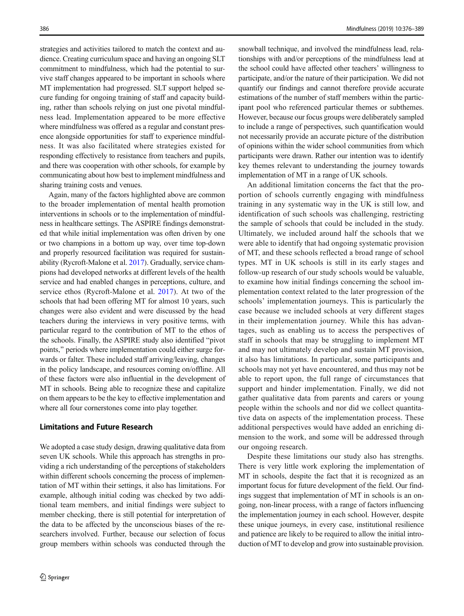strategies and activities tailored to match the context and audience. Creating curriculum space and having an ongoing SLT commitment to mindfulness, which had the potential to survive staff changes appeared to be important in schools where MT implementation had progressed. SLT support helped secure funding for ongoing training of staff and capacity building, rather than schools relying on just one pivotal mindfulness lead. Implementation appeared to be more effective where mindfulness was offered as a regular and constant presence alongside opportunities for staff to experience mindfulness. It was also facilitated where strategies existed for responding effectively to resistance from teachers and pupils, and there was cooperation with other schools, for example by communicating about how best to implement mindfulness and sharing training costs and venues.

Again, many of the factors highlighted above are common to the broader implementation of mental health promotion interventions in schools or to the implementation of mindfulness in healthcare settings. The ASPIRE findings demonstrated that while initial implementation was often driven by one or two champions in a bottom up way, over time top-down and properly resourced facilitation was required for sustainability (Rycroft-Malone et al. [2017](#page-13-0)). Gradually, service champions had developed networks at different levels of the health service and had enabled changes in perceptions, culture, and service ethos (Rycroft-Malone et al. [2017\)](#page-13-0). At two of the schools that had been offering MT for almost 10 years, such changes were also evident and were discussed by the head teachers during the interviews in very positive terms, with particular regard to the contribution of MT to the ethos of the schools. Finally, the ASPIRE study also identified "pivot" points," periods where implementation could either surge forwards or falter. These included staff arriving/leaving, changes in the policy landscape, and resources coming on/offline. All of these factors were also influential in the development of MT in schools. Being able to recognize these and capitalize on them appears to be the key to effective implementation and where all four cornerstones come into play together.

#### Limitations and Future Research

We adopted a case study design, drawing qualitative data from seven UK schools. While this approach has strengths in providing a rich understanding of the perceptions of stakeholders within different schools concerning the process of implementation of MT within their settings, it also has limitations. For example, although initial coding was checked by two additional team members, and initial findings were subject to member checking, there is still potential for interpretation of the data to be affected by the unconscious biases of the researchers involved. Further, because our selection of focus group members within schools was conducted through the

snowball technique, and involved the mindfulness lead, relationships with and/or perceptions of the mindfulness lead at the school could have affected other teachers' willingness to participate, and/or the nature of their participation. We did not quantify our findings and cannot therefore provide accurate estimations of the number of staff members within the participant pool who referenced particular themes or subthemes. However, because our focus groups were deliberately sampled to include a range of perspectives, such quantification would not necessarily provide an accurate picture of the distribution of opinions within the wider school communities from which participants were drawn. Rather our intention was to identify key themes relevant to understanding the journey towards implementation of MT in a range of UK schools.

An additional limitation concerns the fact that the proportion of schools currently engaging with mindfulness training in any systematic way in the UK is still low, and identification of such schools was challenging, restricting the sample of schools that could be included in the study. Ultimately, we included around half the schools that we were able to identify that had ongoing systematic provision of MT, and these schools reflected a broad range of school types. MT in UK schools is still in its early stages and follow-up research of our study schools would be valuable, to examine how initial findings concerning the school implementation context related to the later progression of the schools' implementation journeys. This is particularly the case because we included schools at very different stages in their implementation journey. While this has advantages, such as enabling us to access the perspectives of staff in schools that may be struggling to implement MT and may not ultimately develop and sustain MT provision, it also has limitations. In particular, some participants and schools may not yet have encountered, and thus may not be able to report upon, the full range of circumstances that support and hinder implementation. Finally, we did not gather qualitative data from parents and carers or young people within the schools and nor did we collect quantitative data on aspects of the implementation process. These additional perspectives would have added an enriching dimension to the work, and some will be addressed through our ongoing research.

Despite these limitations our study also has strengths. There is very little work exploring the implementation of MT in schools, despite the fact that it is recognized as an important focus for future development of the field. Our findings suggest that implementation of MT in schools is an ongoing, non-linear process, with a range of factors influencing the implementation journey in each school. However, despite these unique journeys, in every case, institutional resilience and patience are likely to be required to allow the initial introduction of MT to develop and grow into sustainable provision.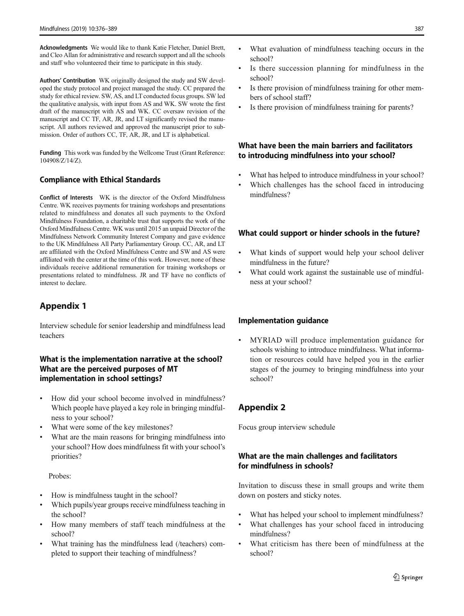<span id="page-11-0"></span>Acknowledgments We would like to thank Katie Fletcher, Daniel Brett, and Cleo Allan for administrative and research support and all the schools and staff who volunteered their time to participate in this study.

Authors' Contribution WK originally designed the study and SW developed the study protocol and project managed the study. CC prepared the study for ethical review. SW, AS, and LT conducted focus groups. SW led the qualitative analysis, with input from AS and WK. SW wrote the first draft of the manuscript with AS and WK. CC oversaw revision of the manuscript and CC TF, AR, JR, and LT significantly revised the manuscript. All authors reviewed and approved the manuscript prior to submission. Order of authors CC, TF, AR, JR, and LT is alphabetical.

Funding This work was funded by the Wellcome Trust (Grant Reference: 104908/Z/14/Z).

# Compliance with Ethical Standards

Conflict of Interests WK is the director of the Oxford Mindfulness Centre. WK receives payments for training workshops and presentations related to mindfulness and donates all such payments to the Oxford Mindfulness Foundation, a charitable trust that supports the work of the Oxford Mindfulness Centre. WK was until 2015 an unpaid Director of the Mindfulness Network Community Interest Company and gave evidence to the UK Mindfulness All Party Parliamentary Group. CC, AR, and LT are affiliated with the Oxford Mindfulness Centre and SW and AS were affiliated with the center at the time of this work. However, none of these individuals receive additional remuneration for training workshops or presentations related to mindfulness. JR and TF have no conflicts of interest to declare.

# Appendix 1

Interview schedule for senior leadership and mindfulness lead teachers

# What is the implementation narrative at the school? What are the perceived purposes of MT implementation in school settings?

- How did your school become involved in mindfulness? Which people have played a key role in bringing mindfulness to your school?
- What were some of the key milestones?
- What are the main reasons for bringing mindfulness into your school? How does mindfulness fit with your school's priorities?

#### Probes:

- How is mindfulness taught in the school?
- Which pupils/year groups receive mindfulness teaching in the school?
- & How many members of staff teach mindfulness at the school?
- What training has the mindfulness lead (/teachers) completed to support their teaching of mindfulness?
- What evaluation of mindfulness teaching occurs in the school?
- Is there succession planning for mindfulness in the school?
- Is there provision of mindfulness training for other members of school staff?
- Is there provision of mindfulness training for parents?

# What have been the main barriers and facilitators to introducing mindfulness into your school?

- What has helped to introduce mindfulness in your school?
- Which challenges has the school faced in introducing mindfulness?

# What could support or hinder schools in the future?

- What kinds of support would help your school deliver mindfulness in the future?
- What could work against the sustainable use of mindfulness at your school?

# Implementation guidance

MYRIAD will produce implementation guidance for schools wishing to introduce mindfulness. What information or resources could have helped you in the earlier stages of the journey to bringing mindfulness into your school?

# Appendix 2

Focus group interview schedule

# What are the main challenges and facilitators for mindfulness in schools?

Invitation to discuss these in small groups and write them down on posters and sticky notes.

- What has helped your school to implement mindfulness?
- What challenges has your school faced in introducing mindfulness?
- What criticism has there been of mindfulness at the school?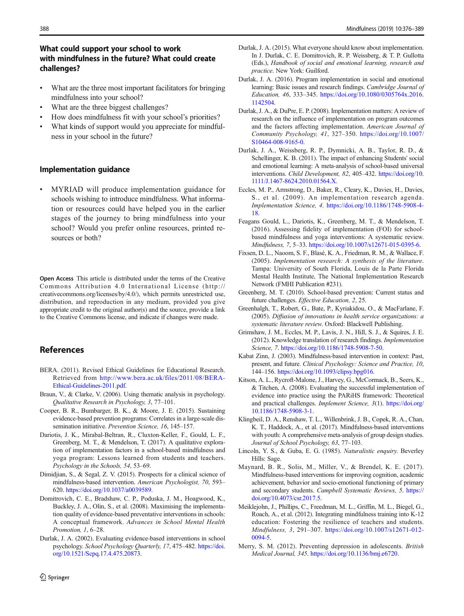# <span id="page-12-0"></span>What could support your school to work with mindfulness in the future? What could create challenges?

- & What are the three most important facilitators for bringing mindfulness into your school?
- What are the three biggest challenges?
- How does mindfulness fit with your school's priorities?
- What kinds of support would you appreciate for mindfulness in your school in the future?

#### Implementation guidance

MYRIAD will produce implementation guidance for schools wishing to introduce mindfulness. What information or resources could have helped you in the earlier stages of the journey to bring mindfulness into your school? Would you prefer online resources, printed resources or both?

Open Access This article is distributed under the terms of the Creative Commons Attribution 4.0 International License (http:// creativecommons.org/licenses/by/4.0/), which permits unrestricted use, distribution, and reproduction in any medium, provided you give appropriate credit to the original author(s) and the source, provide a link to the Creative Commons license, and indicate if changes were made.

# References

- BERA. (2011). Revised Ethical Guidelines for Educational Research. Retrieved from [http://www.bera.ac.uk/files/2011/08/BERA-](http://www.bera.ac.uk/files/2011/08/BERA-Ethical-Guidelines-2011.pdf)[Ethical-Guidelines-2011.pdf.](http://www.bera.ac.uk/files/2011/08/BERA-Ethical-Guidelines-2011.pdf)
- Braun, V., & Clarke, V. (2006). Using thematic analysis in psychology. Qualitative Research in Psychology, 3, 77–101.
- Cooper, B. R., Bumbarger, B. K., & Moore, J. E. (2015). Sustaining evidence-based prevention programs: Correlates in a large-scale dissemination initiative. Prevention Science, 16, 145-157.
- Dariotis, J. K., Mirabal-Beltran, R., Cluxton-Keller, F., Gould, L. F., Greenberg, M. T., & Mendelson, T. (2017). A qualitative exploration of implementation factors in a school-based mindfulness and yoga program: Lessons learned from students and teachers. Psychology in the Schools, 54, 53–69.
- Dimidjian, S., & Segal, Z. V. (2015). Prospects for a clinical science of mindfulness-based intervention. American Psychologist, 70, 593– 620. <https://doi.org/10.1037/a0039589>.
- Domitrovich, C. E., Bradshaw, C. P., Poduska, J. M., Hoagwood, K., Buckley, J. A., Olin, S., et al. (2008). Maximising the implementation quality of evidence-based preventative interventions in schools: A conceptual framework. Advances in School Mental Health Promotion, 1, 6-28.
- Durlak, J. A. (2002). Evaluating evidence-based interventions in school psychology. School Psychology Quarterly, 17, 475–482. [https://doi.](https://doi.org/10.1521/Scpq.17.4.475.20873) [org/10.1521/Scpq.17.4.475.20873](https://doi.org/10.1521/Scpq.17.4.475.20873).
- Durlak, J. A. (2015). What everyone should know about implementation. In J. Durlak, C. E. Domitrovich, R. P. Weissberg, & T. P. Gullotta (Eds.), Handbook of social and emotional learning, research and practice. New York: Guilford.
- Durlak, J. A. (2016). Program implementation in social and emotional learning: Basic issues and research findings. Cambridge Journal of Education, 46, 333–345. [https://doi.org/10.1080/0305764x.2016.](https://doi.org/10.1080/0305764x.2016.1142504) [1142504.](https://doi.org/10.1080/0305764x.2016.1142504)
- Durlak, J. A., & DuPre, E. P. (2008). Implementation matters: A review of research on the influence of implementation on program outcomes and the factors affecting implementation. American Journal of Community Psychology, 41, 327–350. [https://doi.org/10.1007/](https://doi.org/10.1007/S10464-008-9165-0) S<sub>10464</sub>-008-9165-0.
- Durlak, J. A., Weissberg, R. P., Dymnicki, A. B., Taylor, R. D., & Schellinger, K. B. (2011). The impact of enhancing Students' social and emotional learning: A meta-analysis of school-based universal interventions. Child Development, 82, 405–432. [https://doi.org/10.](https://doi.org/10.1111/J.1467-8624.2010.01564.X) [1111/J.1467-8624.2010.01564.X](https://doi.org/10.1111/J.1467-8624.2010.01564.X).
- Eccles, M. P., Armstrong, D., Baker, R., Cleary, K., Davies, H., Davies, S., et al. (2009). An implementation research agenda. Implementation Science, 4. [https://doi.org/10.1186/1748-5908-4-](https://doi.org/10.1186/1748-5908-4-18) [18](https://doi.org/10.1186/1748-5908-4-18).
- Feagans Gould, L., Dariotis, K., Greenberg, M. T., & Mendelson, T. (2016). Assessing fidelity of implementation (FOI) for schoolbased mindfulness and yoga interventions: A systematic review. Mindfulness, 7, 5–33. <https://doi.org/10.1007/s12671-015-0395-6>.
- Fixsen, D. L., Naoom, S. F., Blasé, K. A., Friedman, R. M., & Wallace, F. (2005). Implementation research: A synthesis of the literature. Tampa: University of South Florida, Louis de la Parte Florida Mental Health Institute, The National Implementation Research Network (FMHI Publication #231).
- Greenberg, M. T. (2010). School-based prevention: Current status and future challenges. Effective Education, 2, 25.
- Greenhalgh, T., Robert, G., Bate, P., Kyriakidou, O., & MacFarlane, F. (2005). Diffusion of innovations in health service organizations: a systematic literature review. Oxford: Blackwell Publishing.
- Grimshaw, J. M., Eccles, M. P., Lavis, J. N., Hill, S. J., & Squires, J. E. (2012). Knowledge translation of research findings. Implementation Science, 7. [https://doi.org/10.1186/1748-5908-7-50.](https://doi.org/10.1186/1748-5908-7-50)
- Kabat Zinn, J. (2003). Mindfulness-based intervention in context: Past, present, and future. Clinical Psychology: Science and Practice, 10, 144–156. <https://doi.org/10.1093/clipsy.bpg016>.
- Kitson, A. L., Rycroft-Malone, J., Harvey, G., McCormack, B., Seers, K., & Titchen, A. (2008). Evaluating the successful implementation of evidence into practice using the PARiHS framework: Theoretical and practical challenges. Implement Science, 3(1). [https://doi.org/](https://doi.org/10.1186/1748-5908-3-1) [10.1186/1748-5908-3-1](https://doi.org/10.1186/1748-5908-3-1).
- Klingbeil, D. A., Renshaw, T. L., Willenbrink, J. B., Copek, R. A., Chan, K. T., Haddock, A., et al. (2017). Mindfulness-based interventions with youth: A comprehensive meta-analysis of group design studies. Journal of School Psychology, 63, 77–103.
- Lincoln, Y. S., & Guba, E. G. (1985). Naturalistic enquiry. Beverley Hills: Sage.
- Maynard, B. R., Solis, M., Miller, V., & Brendel, K. E. (2017). Mindfulness-based interventions for improving cognition, academic achievement, behavior and socio-emotional functioning of primary and secondary students. Campbell Systematic Reviews, 5. [https://](https://doi.org/10.4073/csr.2017.5) [doi.org/10.4073/csr.2017.5](https://doi.org/10.4073/csr.2017.5).
- Meiklejohn, J., Phillips, C., Freedman, M. L., Griffin, M. L., Biegel, G., Roach, A., et al. (2012). Integrating mindfulness training into K-12 education: Fostering the resilience of teachers and students. Mindfulness, 3, 291–307. [https://doi.org/10.1007/s12671-012-](https://doi.org/10.1007/s12671-012-0094-5) [0094-5](https://doi.org/10.1007/s12671-012-0094-5).
- Merry, S. M. (2012). Preventing depression in adolescents. British Medical Journal, 345. <https://doi.org/10.1136/bmj.e6720>.